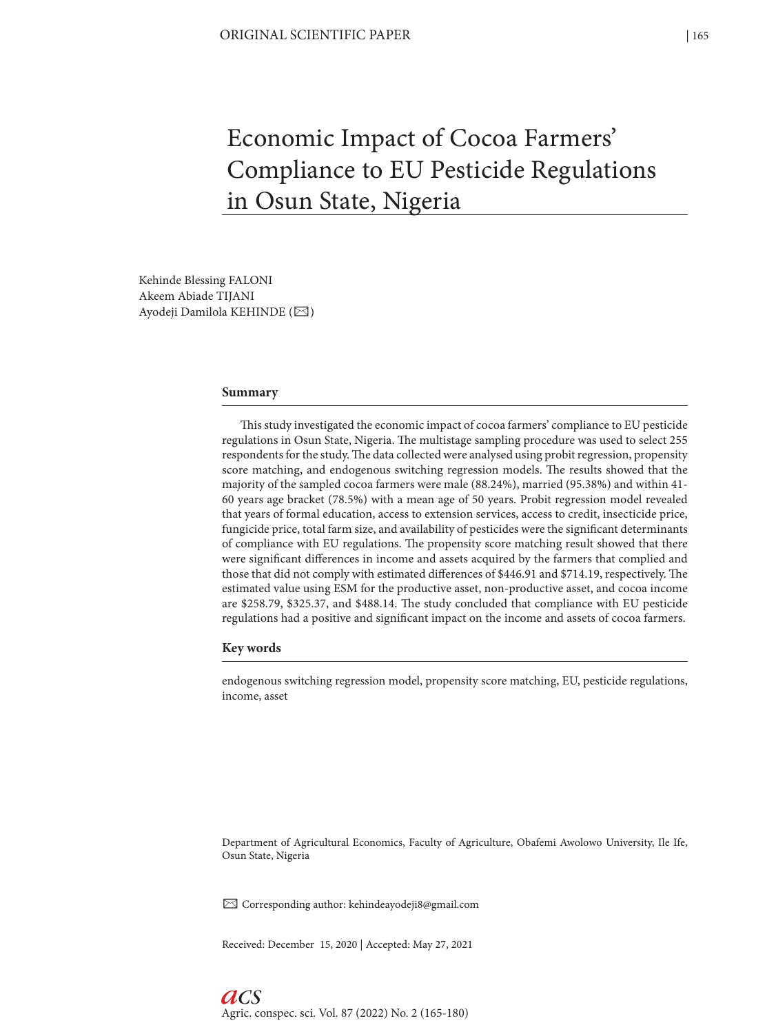# Economic Impact of Cocoa Farmers' Compliance to EU Pesticide Regulations in Osun State, Nigeria

Kehinde Blessing FALONI Akeem Abiade TIJANI Ayodeji Damilola KEHINDE (⊠)

#### **Summary**

This study investigated the economic impact of cocoa farmers' compliance to EU pesticide regulations in Osun State, Nigeria. The multistage sampling procedure was used to select 255 respondents for the study. The data collected were analysed using probit regression, propensity score matching, and endogenous switching regression models. The results showed that the majority of the sampled cocoa farmers were male (88.24%), married (95.38%) and within 41- 60 years age bracket (78.5%) with a mean age of 50 years. Probit regression model revealed that years of formal education, access to extension services, access to credit, insecticide price, fungicide price, total farm size, and availability of pesticides were the significant determinants of compliance with EU regulations. The propensity score matching result showed that there were significant differences in income and assets acquired by the farmers that complied and those that did not comply with estimated differences of \$446.91 and \$714.19, respectively. The estimated value using ESM for the productive asset, non-productive asset, and cocoa income are \$258.79, \$325.37, and \$488.14. The study concluded that compliance with EU pesticide regulations had a positive and significant impact on the income and assets of cocoa farmers.

#### **Key words**

endogenous switching regression model, propensity score matching, EU, pesticide regulations, income, asset

Department of Agricultural Economics, Faculty of Agriculture, Obafemi Awolowo University, Ile Ife, Osun State, Nigeria

 $\boxtimes$  Corresponding author: kehindeayodeji8@gmail.com

Received: December 15, 2020 | Accepted: May 27, 2021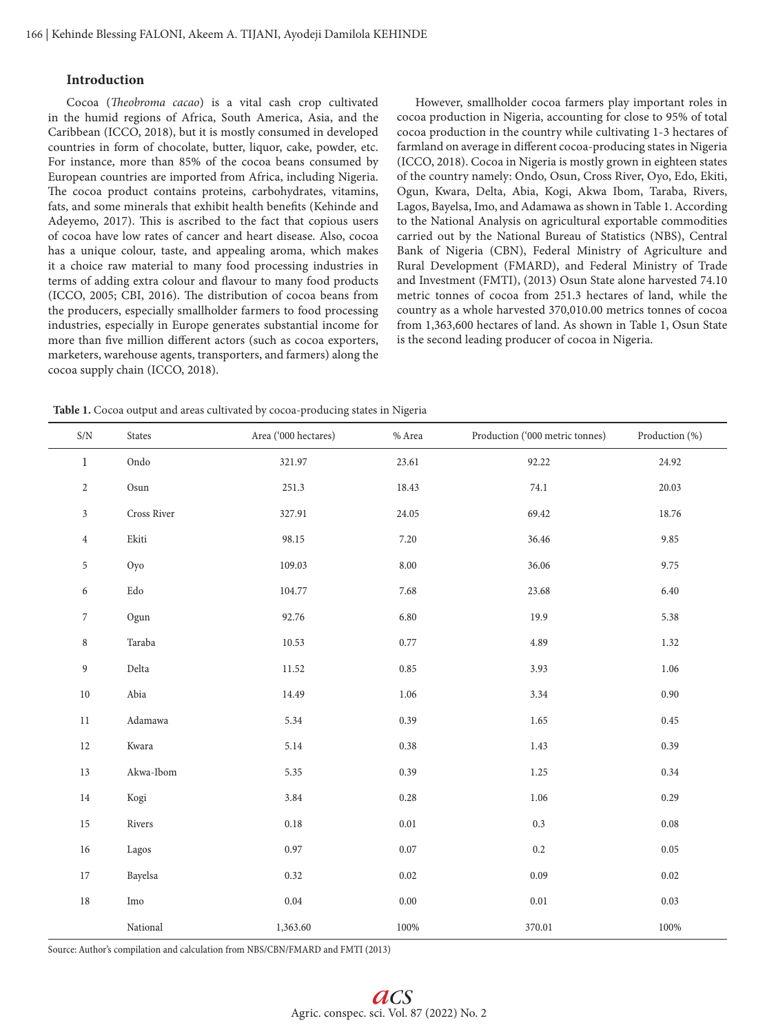# **Introduction**

Cocoa (*Theobroma cacao*) is a vital cash crop cultivated in the humid regions of Africa, South America, Asia, and the Caribbean (ICCO, 2018), but it is mostly consumed in developed countries in form of chocolate, butter, liquor, cake, powder, etc. For instance, more than 85% of the cocoa beans consumed by European countries are imported from Africa, including Nigeria. The cocoa product contains proteins, carbohydrates, vitamins, fats, and some minerals that exhibit health benefits (Kehinde and Adeyemo, 2017). This is ascribed to the fact that copious users of cocoa have low rates of cancer and heart disease. Also, cocoa has a unique colour, taste, and appealing aroma, which makes it a choice raw material to many food processing industries in terms of adding extra colour and flavour to many food products (ICCO, 2005; CBI, 2016). The distribution of cocoa beans from the producers, especially smallholder farmers to food processing industries, especially in Europe generates substantial income for more than five million different actors (such as cocoa exporters, marketers, warehouse agents, transporters, and farmers) along the cocoa supply chain (ICCO, 2018).

However, smallholder cocoa farmers play important roles in cocoa production in Nigeria, accounting for close to 95% of total cocoa production in the country while cultivating 1-3 hectares of farmland on average in different cocoa-producing states in Nigeria (ICCO, 2018). Cocoa in Nigeria is mostly grown in eighteen states of the country namely: Ondo, Osun, Cross River, Oyo, Edo, Ekiti, Ogun, Kwara, Delta, Abia, Kogi, Akwa Ibom, Taraba, Rivers, Lagos, Bayelsa, Imo, and Adamawa as shown in Table 1. According to the National Analysis on agricultural exportable commodities carried out by the National Bureau of Statistics (NBS), Central Bank of Nigeria (CBN), Federal Ministry of Agriculture and Rural Development (FMARD), and Federal Ministry of Trade and Investment (FMTI), (2013) Osun State alone harvested 74.10 metric tonnes of cocoa from 251.3 hectares of land, while the country as a whole harvested 370,010.00 metrics tonnes of cocoa from 1,363,600 hectares of land. As shown in Table 1, Osun State is the second leading producer of cocoa in Nigeria.

**Table 1.** Cocoa output and areas cultivated by cocoa-producing states in Nigeria

| S/N              | States                            | Area ('000 hectares) | % Area   | Production ('000 metric tonnes) | Production (%) |
|------------------|-----------------------------------|----------------------|----------|---------------------------------|----------------|
| $\mathbf{1}$     | Ondo                              | 321.97               | 23.61    | 92.22                           | 24.92          |
| $\overline{2}$   | Osun                              | 251.3                | 18.43    | 74.1                            | 20.03          |
| $\mathfrak{Z}$   | Cross River                       | 327.91               | 24.05    | 69.42                           | 18.76          |
| $\overline{4}$   | Ekiti                             | 98.15                | 7.20     | 36.46                           | 9.85           |
| 5                | Oyo                               | 109.03               | $8.00\,$ | 36.06                           | 9.75           |
| 6                | $\operatorname{Edo}$              | 104.77               | 7.68     | 23.68                           | 6.40           |
| $\boldsymbol{7}$ | Ogun                              | 92.76                | 6.80     | 19.9                            | 5.38           |
| $\,8\,$          | Taraba                            | 10.53                | 0.77     | 4.89                            | 1.32           |
| $\boldsymbol{9}$ | Delta                             | 11.52                | 0.85     | 3.93                            | 1.06           |
| $10\,$           | Abia                              | 14.49                | $1.06\,$ | 3.34                            | 0.90           |
| $11\,$           | $\operatorname{Adamawa}$          | 5.34                 | 0.39     | 1.65                            | 0.45           |
| $12\,$           | Kwara                             | 5.14                 | 0.38     | 1.43                            | 0.39           |
| $13\,$           | Akwa-Ibom                         | 5.35                 | 0.39     | 1.25                            | 0.34           |
| $14\,$           | Kogi                              | 3.84                 | $0.28\,$ | 1.06                            | 0.29           |
| $15\,$           | Rivers                            | 0.18                 | $0.01\,$ | $0.3\,$                         | 0.08           |
| $16\,$           | Lagos                             | 0.97                 | $0.07\,$ | $0.2\,$                         | 0.05           |
| 17               | Bayelsa                           | 0.32                 | $0.02\,$ | 0.09                            | 0.02           |
| $18\,$           | $\operatorname{Im} \! \mathrm{o}$ | $\rm 0.04$           | $0.00\,$ | $0.01\,$                        | 0.03           |
|                  | National                          | 1,363.60             | 100%     | 370.01                          | 100%           |

Source: Author's compilation and calculation from NBS/CBN/FMARD and FMTI (2013)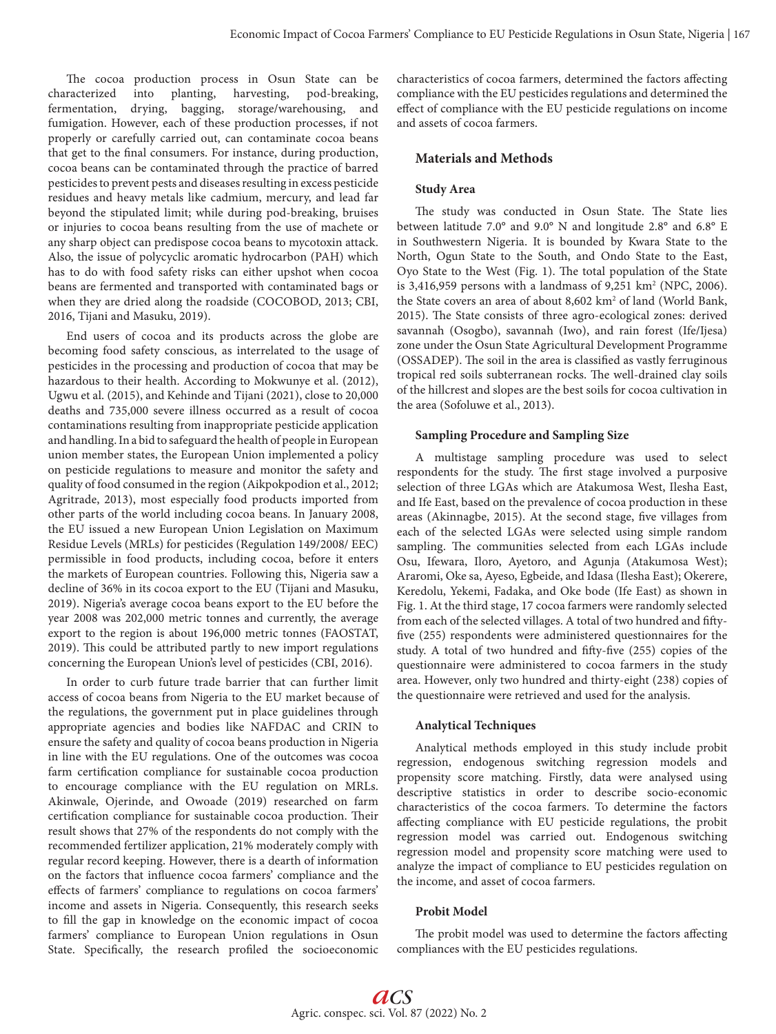The cocoa production process in Osun State can be characterized into planting, harvesting, pod-breaking, fermentation, drying, bagging, storage/warehousing, and fumigation. However, each of these production processes, if not properly or carefully carried out, can contaminate cocoa beans that get to the final consumers. For instance, during production, cocoa beans can be contaminated through the practice of barred pesticides to prevent pests and diseases resulting in excess pesticide residues and heavy metals like cadmium, mercury, and lead far beyond the stipulated limit; while during pod-breaking, bruises or injuries to cocoa beans resulting from the use of machete or any sharp object can predispose cocoa beans to mycotoxin attack. Also, the issue of polycyclic aromatic hydrocarbon (PAH) which has to do with food safety risks can either upshot when cocoa beans are fermented and transported with contaminated bags or when they are dried along the roadside (COCOBOD, 2013; CBI, 2016, Tijani and Masuku, 2019).

End users of cocoa and its products across the globe are becoming food safety conscious, as interrelated to the usage of pesticides in the processing and production of cocoa that may be hazardous to their health. According to Mokwunye et al. (2012), Ugwu et al. (2015), and Kehinde and Tijani (2021), close to 20,000 deaths and 735,000 severe illness occurred as a result of cocoa contaminations resulting from inappropriate pesticide application and handling. In a bid to safeguard the health of people in European union member states, the European Union implemented a policy on pesticide regulations to measure and monitor the safety and quality of food consumed in the region (Aikpokpodion et al., 2012; Agritrade, 2013), most especially food products imported from other parts of the world including cocoa beans. In January 2008, the EU issued a new European Union Legislation on Maximum Residue Levels (MRLs) for pesticides (Regulation 149/2008/ EEC) permissible in food products, including cocoa, before it enters the markets of European countries. Following this, Nigeria saw a decline of 36% in its cocoa export to the EU (Tijani and Masuku, 2019). Nigeria's average cocoa beans export to the EU before the year 2008 was 202,000 metric tonnes and currently, the average export to the region is about 196,000 metric tonnes (FAOSTAT, 2019). This could be attributed partly to new import regulations concerning the European Union's level of pesticides (CBI, 2016).

In order to curb future trade barrier that can further limit access of cocoa beans from Nigeria to the EU market because of the regulations, the government put in place guidelines through appropriate agencies and bodies like NAFDAC and CRIN to ensure the safety and quality of cocoa beans production in Nigeria in line with the EU regulations. One of the outcomes was cocoa farm certification compliance for sustainable cocoa production to encourage compliance with the EU regulation on MRLs. Akinwale, Ojerinde, and Owoade (2019) researched on farm certification compliance for sustainable cocoa production. Their result shows that 27% of the respondents do not comply with the recommended fertilizer application, 21% moderately comply with regular record keeping. However, there is a dearth of information on the factors that influence cocoa farmers' compliance and the effects of farmers' compliance to regulations on cocoa farmers' income and assets in Nigeria. Consequently, this research seeks to fill the gap in knowledge on the economic impact of cocoa farmers' compliance to European Union regulations in Osun State. Specifically, the research profiled the socioeconomic characteristics of cocoa farmers, determined the factors affecting compliance with the EU pesticides regulations and determined the effect of compliance with the EU pesticide regulations on income and assets of cocoa farmers.

### **Materials and Methods**

### **Study Area**

The study was conducted in Osun State. The State lies between latitude 7.0° and 9.0° N and longitude 2.8° and 6.8° E in Southwestern Nigeria. It is bounded by Kwara State to the North, Ogun State to the South, and Ondo State to the East, Oyo State to the West (Fig. 1). The total population of the State is 3,416,959 persons with a landmass of  $9,251 \text{ km}^2$  (NPC, 2006). the State covers an area of about 8,602 km<sup>2</sup> of land (World Bank, 2015). The State consists of three agro-ecological zones: derived savannah (Osogbo), savannah (Iwo), and rain forest (Ife/Ijesa) zone under the Osun State Agricultural Development Programme (OSSADEP). The soil in the area is classified as vastly ferruginous tropical red soils subterranean rocks. The well-drained clay soils of the hillcrest and slopes are the best soils for cocoa cultivation in the area (Sofoluwe et al., 2013).

#### **Sampling Procedure and Sampling Size**

A multistage sampling procedure was used to select respondents for the study. The first stage involved a purposive selection of three LGAs which are Atakumosa West, Ilesha East, and Ife East, based on the prevalence of cocoa production in these areas (Akinnagbe, 2015). At the second stage, five villages from each of the selected LGAs were selected using simple random sampling. The communities selected from each LGAs include Osu, Ifewara, Iloro, Ayetoro, and Agunja (Atakumosa West); Araromi, Oke sa, Ayeso, Egbeide, and Idasa (Ilesha East); Okerere, Keredolu, Yekemi, Fadaka, and Oke bode (Ife East) as shown in Fig. 1. At the third stage, 17 cocoa farmers were randomly selected from each of the selected villages. A total of two hundred and fiftyfive (255) respondents were administered questionnaires for the study. A total of two hundred and fifty-five (255) copies of the questionnaire were administered to cocoa farmers in the study area. However, only two hundred and thirty-eight (238) copies of the questionnaire were retrieved and used for the analysis.

#### **Analytical Techniques**

Analytical methods employed in this study include probit regression, endogenous switching regression models and propensity score matching. Firstly, data were analysed using descriptive statistics in order to describe socio-economic characteristics of the cocoa farmers. To determine the factors affecting compliance with EU pesticide regulations, the probit regression model was carried out. Endogenous switching regression model and propensity score matching were used to analyze the impact of compliance to EU pesticides regulation on the income, and asset of cocoa farmers.

## **Probit Model**

The probit model was used to determine the factors affecting compliances with the EU pesticides regulations.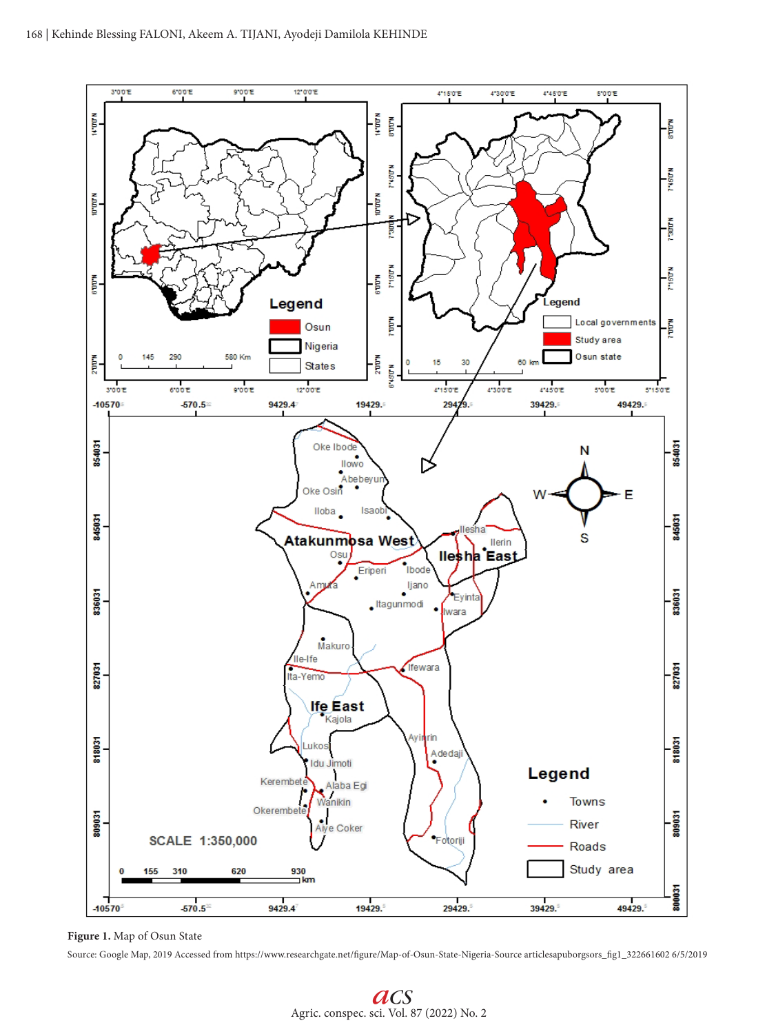

**Figure 1.** Map of Osun State

Source: Google Map, 2019 Accessed from https://www.researchgate.net/figure/Map-of-Osun-State-Nigeria-Source articlesapuborgsors\_fig1\_322661602 6/5/2019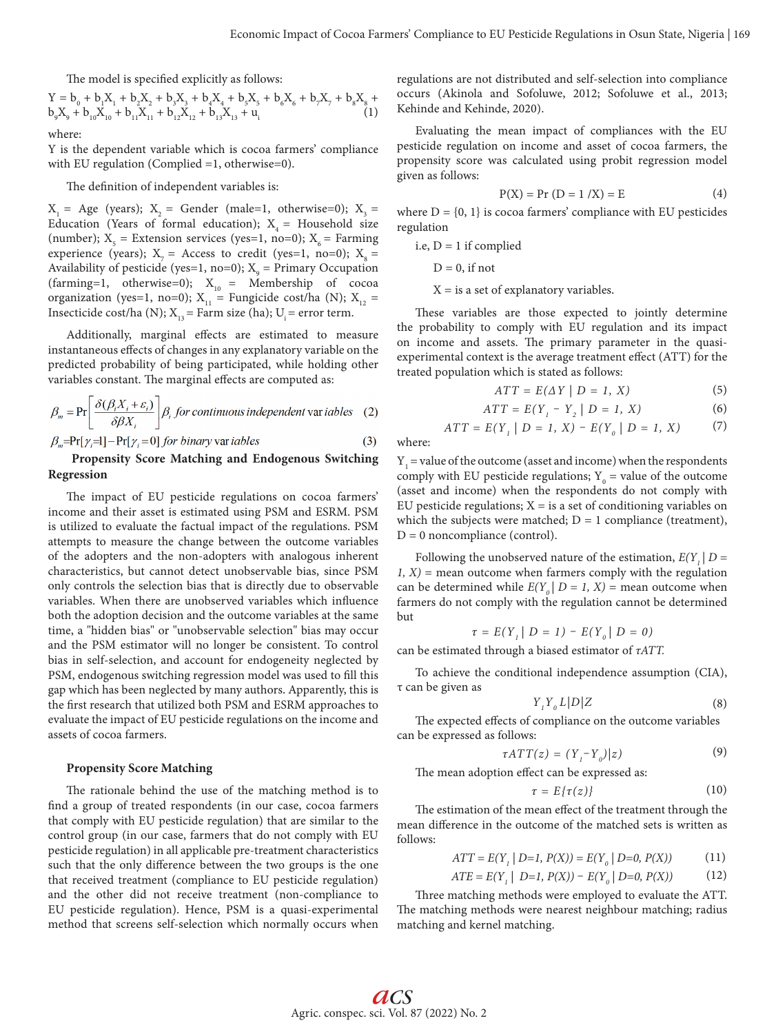The model is specified explicitly as follows:

$$
\begin{array}{l} Y = b_{0} + b_{1}X_{1} + b_{2}X_{2} + b_{3}X_{3} + b_{4}X_{4} + b_{5}X_{5} + b_{6}X_{6} + b_{7}X_{7} + b_{8}X_{8} + b_{9}X_{9} + b_{10}X_{10} + b_{11}X_{11} + b_{12}X_{12} + b_{13}X_{13} + u_{i} \end{array} \tag{1}
$$

where:

Y is the dependent variable which is cocoa farmers' compliance with EU regulation (Complied =1, otherwise=0).

The definition of independent variables is:

 $X_1 = Age$  (years);  $X_2 = Gender$  (male=1, otherwise=0);  $X_3 =$ Education (Years of formal education);  $X<sub>4</sub>$  = Household size (number);  $X_5$  = Extension services (yes=1, no=0);  $X_6$  = Farming experience (years);  $X_7$  = Access to credit (yes=1, no=0);  $X_8$  = Availability of pesticide (yes=1, no=0);  $X_{9}$  = Primary Occupation (farming=1, otherwise=0);  $X_{10}$  = Membership of cocoa organization (yes=1, no=0);  $X_{11}$  = Fungicide cost/ha (N);  $X_{12}$  = Insecticide cost/ha (N);  $X_{13}$  = Farm size (ha); U<sub>i</sub> = error term.

Additionally, marginal effects are estimated to measure instantaneous effects of changes in any explanatory variable on the predicted probability of being participated, while holding other variables constant. The marginal effects are computed as:

$$
\beta_m = \Pr\left[\frac{\delta(\beta_i X_i + \varepsilon_i)}{\delta \beta X_i}\right] \beta_i \text{ for continuous independent var tables} \quad (2)
$$

$$
\beta_m = \Pr[\gamma_i = 1] - \Pr[\gamma_i = 0] \text{ for binary var }iables \tag{3}
$$

# **Propensity Score Matching and Endogenous Switching Regression**

The impact of EU pesticide regulations on cocoa farmers' income and their asset is estimated using PSM and ESRM. PSM is utilized to evaluate the factual impact of the regulations. PSM attempts to measure the change between the outcome variables of the adopters and the non-adopters with analogous inherent characteristics, but cannot detect unobservable bias, since PSM only controls the selection bias that is directly due to observable variables. When there are unobserved variables which influence both the adoption decision and the outcome variables at the same time, a "hidden bias" or "unobservable selection" bias may occur and the PSM estimator will no longer be consistent. To control bias in self-selection, and account for endogeneity neglected by PSM, endogenous switching regression model was used to fill this gap which has been neglected by many authors. Apparently, this is the first research that utilized both PSM and ESRM approaches to evaluate the impact of EU pesticide regulations on the income and assets of cocoa farmers.

### **Propensity Score Matching**

The rationale behind the use of the matching method is to find a group of treated respondents (in our case, cocoa farmers that comply with EU pesticide regulation) that are similar to the control group (in our case, farmers that do not comply with EU pesticide regulation) in all applicable pre-treatment characteristics such that the only difference between the two groups is the one that received treatment (compliance to EU pesticide regulation) and the other did not receive treatment (non-compliance to EU pesticide regulation). Hence, PSM is a quasi-experimental method that screens self-selection which normally occurs when regulations are not distributed and self-selection into compliance occurs (Akinola and Sofoluwe, 2012; Sofoluwe et al., 2013; Kehinde and Kehinde, 2020).

Evaluating the mean impact of compliances with the EU pesticide regulation on income and asset of cocoa farmers, the propensity score was calculated using probit regression model given as follows:

$$
P(X) = Pr (D = 1 / X) = E
$$
 (4)

where  $D = \{0, 1\}$  is cocoa farmers' compliance with EU pesticides regulation

i.e,  $D = 1$  if complied

 $D = 0$ , if not

 $X =$  is a set of explanatory variables.

These variables are those expected to jointly determine the probability to comply with EU regulation and its impact on income and assets. The primary parameter in the quasiexperimental context is the average treatment effect (ATT) for the treated population which is stated as follows:

$$
ATT = E(\Delta Y \mid D = 1, X) \tag{5}
$$

$$
ATT = E(Y_1 - Y_2 | D = 1, X)
$$
 (6)

$$
ATT = E(Y1 | D = 1, X) - E(Y0 | D = 1, X)
$$
 (7)

where:

 $Y_1$  = value of the outcome (asset and income) when the respondents comply with EU pesticide regulations;  $Y_0$  = value of the outcome (asset and income) when the respondents do not comply with EU pesticide regulations;  $X =$  is a set of conditioning variables on which the subjects were matched;  $D = 1$  compliance (treatment),  $D = 0$  noncompliance (control).

Following the unobserved nature of the estimation,  $E(Y|D =$ *1, X)* = mean outcome when farmers comply with the regulation can be determined while  $E(Y_0 | D = 1, X)$  = mean outcome when farmers do not comply with the regulation cannot be determined but

$$
\tau = E(Y_1 | D = 1) - E(Y_0 | D = 0)
$$

can be estimated through a biased estimator of *τATT.*

To achieve the conditional independence assumption (CIA), τ can be given as

$$
Y_{\iota}Y_{\iota}L|D|Z\tag{8}
$$

The expected effects of compliance on the outcome variables can be expressed as follows:

$$
\tau A T T(z) = (Y_i - Y_o)|z)
$$
\n(9)

The mean adoption effect can be expressed as: *τ = E{τ(z)}* The estimation of the mean effect of the treatment through the (10)

mean difference in the outcome of the matched sets is written as follows:

$$
ATT = E(Y1 | D=1, P(X)) = E(Y0 | D=0, P(X))
$$
 (11)

$$
ATE = E(Y_1 | D=1, P(X)) - E(Y_0 | D=0, P(X))
$$
 (12)

Three matching methods were employed to evaluate the ATT. The matching methods were nearest neighbour matching; radius matching and kernel matching.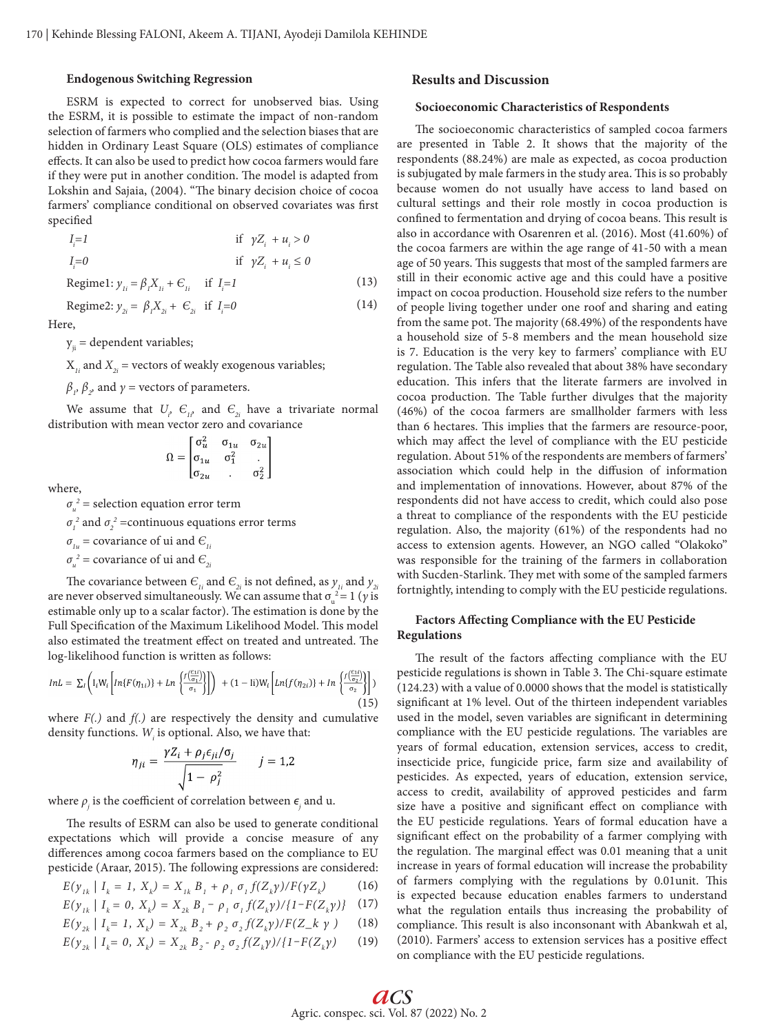## **Endogenous Switching Regression**

ESRM is expected to correct for unobserved bias. Using the ESRM, it is possible to estimate the impact of non-random selection of farmers who complied and the selection biases that are hidden in Ordinary Least Square (OLS) estimates of compliance effects. It can also be used to predict how cocoa farmers would fare if they were put in another condition. The model is adapted from Lokshin and Sajaia, (2004). "The binary decision choice of cocoa farmers' compliance conditional on observed covariates was first specified

$$
I_{i}=1 \t\t \text{if } \gamma Z_{i} + u_{i} > 0
$$
  
\n
$$
I_{i}=0 \t\t \text{if } \gamma Z_{i} + u_{i} \le 0
$$
  
\n
$$
\text{Regime1: } y_{1i} = \beta_{i} X_{1i} + \epsilon_{1i} \t\t \text{if } I_{i}=1 \t\t (13)
$$

$$
Regime2: y_{2i} = \beta_1 X_{2i} + \epsilon_{2i} \text{ if } I_i = 0 \tag{14}
$$

Here,

 $y_{ii}$  = dependent variables;

 $X_{1i}$  and  $X_{2i}$  = vectors of weakly exogenous variables;

 $\beta$ <sub>*,</sub>*,  $\beta$ <sub>2</sub>, and *γ* = vectors of parameters.</sub>

We assume that  $U_i$ ,  $\epsilon_{ii}$  and  $\epsilon_{2i}$  have a trivariate normal distribution with mean vector zero and covariance

$$
\Omega = \begin{bmatrix} \sigma_u^2 & \sigma_{1u} & \sigma_{2u} \\ \sigma_{1u} & \sigma_1^2 & . \\ \sigma_{2u} & . & \sigma_2^2 \end{bmatrix}
$$

where,

 $\sigma_u^2$  = selection equation error term

 $\sigma_1^2$  and  $\sigma_2^2$  =continuous equations error terms

 $\sigma_{1u}$  = covariance of ui and  $\epsilon_{1i}$ 

 $\sigma_u^2$  = covariance of ui and  $\epsilon_{2i}$ 

The covariance between  $\epsilon_{ij}$  and  $\epsilon_{2i}$  is not defined, as  $y_{ij}$  and  $y_{2i}$ are never observed simultaneously. We can assume that  $\sigma_u^2 = 1$  (*y* is estimable only up to a scalar factor). The estimation is done by the Full Specification of the Maximum Likelihood Model. This model also estimated the treatment effect on treated and untreated. The log-likelihood function is written as follows:

$$
InL = \sum_{l} \left( I_{i} W_{i} \left[ In\{F(\eta_{1i})\} + Ln\left\{ \frac{f(\frac{c_{1i}}{\sigma_{1}})}{\sigma_{1}} \right\} \right] \right) + (1 - \text{li}) W_{i} \left[ Ln\{f(\eta_{2i})\} + In\left\{ \frac{f(\frac{c_{1i}}{\sigma_{2}})}{\sigma_{2}} \right\} \right] \right)
$$
(15)

where *F(.)* and *f(.)* are respectively the density and cumulative density functions.  $W_{i}$  is optional. Also, we have that:

$$
\eta_{ji} = \frac{\gamma Z_i + \rho_j \epsilon_{ji}/\sigma_j}{\sqrt{1 - \rho_j^2}} \qquad j = 1,2
$$

where  $\rho_{\hat{j}}$  is the coefficient of correlation between  $\epsilon_{\hat{j}}$  and u.

The results of ESRM can also be used to generate conditional expectations which will provide a concise measure of any differences among cocoa farmers based on the compliance to EU pesticide (Araar, 2015). The following expressions are considered:

$$
E(y_{ik} | I_k = 1, X_k) = X_{ik} B_i + \rho_i \sigma_i f(Z_k \gamma) / F(\gamma Z_k)
$$
 (16)

$$
E(y_{ik} | I_k = 0, X_k) = X_{2k} B_i - \rho_i \sigma_i f(Z_k y) / \{1 - F(Z_k y)\} \tag{17}
$$

$$
E(y_{2k} | I_k = 1, X_k) = X_{2k} B_2 + \rho_2 \sigma_2 f(Z_k \gamma) / F(Z_k \gamma)
$$
 (18)

$$
E(y_{2k} | I_k = 0, X_k) = X_{2k} B_2 - \rho_2 \sigma_2 f(Z_k \gamma) / \{1 - F(Z_k \gamma) \tag{19}
$$

# **Results and Discussion**

#### **Socioeconomic Characteristics of Respondents**

The socioeconomic characteristics of sampled cocoa farmers are presented in Table 2. It shows that the majority of the respondents (88.24%) are male as expected, as cocoa production is subjugated by male farmers in the study area. This is so probably because women do not usually have access to land based on cultural settings and their role mostly in cocoa production is confined to fermentation and drying of cocoa beans. This result is also in accordance with Osarenren et al. (2016). Most (41.60%) of the cocoa farmers are within the age range of 41-50 with a mean age of 50 years. This suggests that most of the sampled farmers are still in their economic active age and this could have a positive impact on cocoa production. Household size refers to the number of people living together under one roof and sharing and eating from the same pot. The majority (68.49%) of the respondents have a household size of 5-8 members and the mean household size is 7. Education is the very key to farmers' compliance with EU regulation. The Table also revealed that about 38% have secondary education. This infers that the literate farmers are involved in cocoa production. The Table further divulges that the majority (46%) of the cocoa farmers are smallholder farmers with less than 6 hectares. This implies that the farmers are resource-poor, which may affect the level of compliance with the EU pesticide regulation. About 51% of the respondents are members of farmers' association which could help in the diffusion of information and implementation of innovations. However, about 87% of the respondents did not have access to credit, which could also pose a threat to compliance of the respondents with the EU pesticide regulation. Also, the majority (61%) of the respondents had no access to extension agents. However, an NGO called "Olakoko" was responsible for the training of the farmers in collaboration with Sucden-Starlink. They met with some of the sampled farmers fortnightly, intending to comply with the EU pesticide regulations.

## **Factors Affecting Compliance with the EU Pesticide Regulations**

The result of the factors affecting compliance with the EU pesticide regulations is shown in Table 3. The Chi-square estimate (124.23) with a value of 0.0000 shows that the model is statistically significant at 1% level. Out of the thirteen independent variables used in the model, seven variables are significant in determining compliance with the EU pesticide regulations. The variables are years of formal education, extension services, access to credit, insecticide price, fungicide price, farm size and availability of pesticides. As expected, years of education, extension service, access to credit, availability of approved pesticides and farm size have a positive and significant effect on compliance with the EU pesticide regulations. Years of formal education have a significant effect on the probability of a farmer complying with the regulation. The marginal effect was 0.01 meaning that a unit increase in years of formal education will increase the probability of farmers complying with the regulations by 0.01unit. This is expected because education enables farmers to understand what the regulation entails thus increasing the probability of compliance. This result is also inconsonant with Abankwah et al, (2010). Farmers' access to extension services has a positive effect on compliance with the EU pesticide regulations.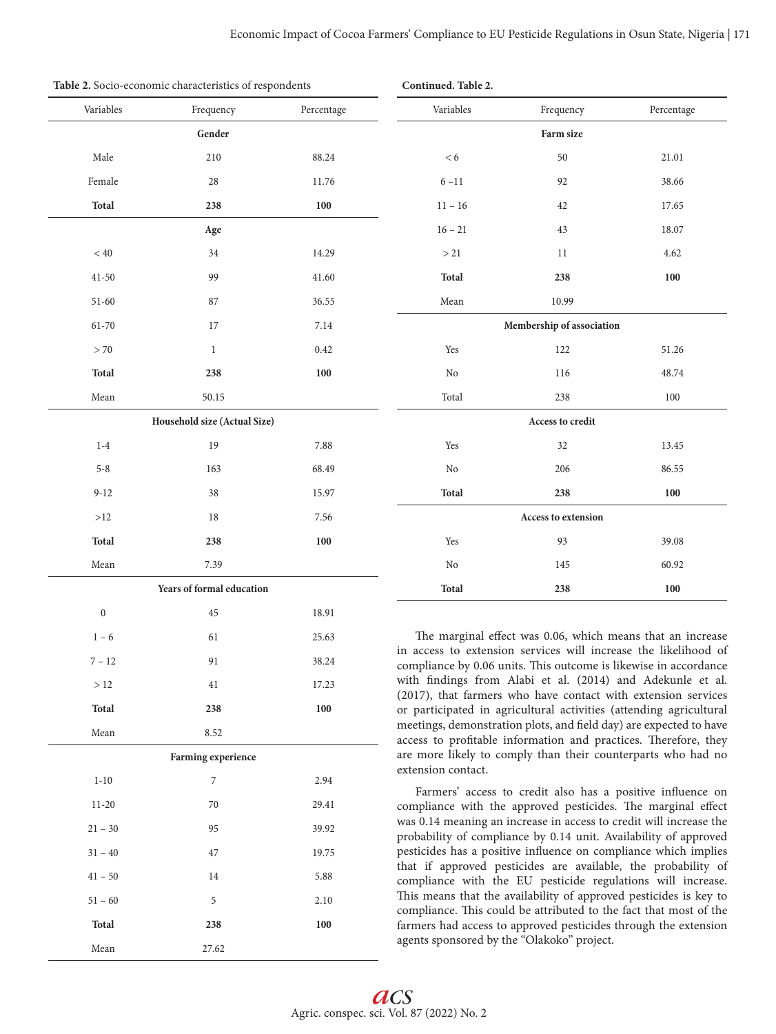**Continued. Table 2.**

| Variables        | Frequency                    | Percentage | Variables          | Frequency                                  | Percentage                                                                                                                             |  |
|------------------|------------------------------|------------|--------------------|--------------------------------------------|----------------------------------------------------------------------------------------------------------------------------------------|--|
|                  | Gender                       |            |                    | Farm size                                  |                                                                                                                                        |  |
| Male             | 210                          | 88.24      | < 6                | 50                                         | 21.01                                                                                                                                  |  |
| Female           | 28                           | 11.76      | $6 - 11$           | 92                                         | 38.66                                                                                                                                  |  |
| <b>Total</b>     | 238                          | 100        | $11 - 16$          | 42                                         | 17.65                                                                                                                                  |  |
|                  | Age                          |            | $16 - 21$          | 43                                         | 18.07                                                                                                                                  |  |
| < 40             | 34                           | 14.29      | >21                | 11                                         | 4.62                                                                                                                                   |  |
| $41 - 50$        | 99                           | 41.60      | <b>Total</b>       | 238                                        | 100                                                                                                                                    |  |
| $51-60$          | 87                           | 36.55      | Mean               | 10.99                                      |                                                                                                                                        |  |
| 61-70            | 17                           | 7.14       |                    | Membership of association                  |                                                                                                                                        |  |
| > 70             | $\mathbf{1}$                 | 0.42       | Yes                | 122                                        | 51.26                                                                                                                                  |  |
| Total            | 238                          | 100        | No                 | 116                                        | 48.74                                                                                                                                  |  |
| Mean             | 50.15                        |            | Total              | 238                                        | 100                                                                                                                                    |  |
|                  | Household size (Actual Size) |            | Access to credit   |                                            |                                                                                                                                        |  |
| $1-4$            | 19                           | 7.88       | Yes                | 32                                         | 13.45                                                                                                                                  |  |
| $5 - 8$          | 163                          | 68.49      | No                 | 206                                        | 86.55                                                                                                                                  |  |
| $9 - 12$         | 38                           | 15.97      | <b>Total</b>       | 238                                        | 100                                                                                                                                    |  |
| >12              | 18                           | 7.56       |                    | <b>Access to extension</b>                 |                                                                                                                                        |  |
| Total            | 238                          | 100        | Yes                | 93                                         | 39.08                                                                                                                                  |  |
| Mean             | 7.39                         |            | No                 | 145                                        | 60.92                                                                                                                                  |  |
|                  | Years of formal education    |            | Total              | 238                                        | 100                                                                                                                                    |  |
| $\boldsymbol{0}$ | 45                           | 18.91      |                    |                                            |                                                                                                                                        |  |
| $1 - 6$          | 61                           | 25.63      |                    |                                            | The marginal effect was 0.06, which means that an increase                                                                             |  |
| $7 - 12$         | 91                           | 38.24      |                    |                                            | in access to extension services will increase the likelihood of<br>compliance by 0.06 units. This outcome is likewise in accordance    |  |
| >12              | 41                           | 17.23      |                    |                                            | with findings from Alabi et al. (2014) and Adekunle et al.                                                                             |  |
| <b>Total</b>     | 238                          | 100        |                    |                                            | (2017), that farmers who have contact with extension services<br>or participated in agricultural activities (attending agricultural    |  |
| Mean             | 8.52                         |            |                    |                                            | meetings, demonstration plots, and field day) are expected to have<br>access to profitable information and practices. Therefore, they  |  |
|                  | Farming experience           |            |                    |                                            | are more likely to comply than their counterparts who had no                                                                           |  |
| $1 - 10$         | 7                            | 2.94       | extension contact. |                                            |                                                                                                                                        |  |
| $11 - 20$        | 70                           | 29.41      |                    |                                            | Farmers' access to credit also has a positive influence on<br>compliance with the approved pesticides. The marginal effect             |  |
| $21 - 30$        | 95                           | 39.92      |                    |                                            | was 0.14 meaning an increase in access to credit will increase the<br>probability of compliance by 0.14 unit. Availability of approved |  |
| $31 - 40$        | 47                           | 19.75      |                    |                                            | pesticides has a positive influence on compliance which implies                                                                        |  |
| $41 - 50$        | 14                           | 5.88       |                    |                                            | that if approved pesticides are available, the probability of<br>compliance with the EU pesticide regulations will increase.           |  |
| $51 - 60$        | 5                            | 2.10       |                    |                                            | This means that the availability of approved pesticides is key to                                                                      |  |
| <b>Total</b>     | 238                          | 100        |                    |                                            | compliance. This could be attributed to the fact that most of the<br>farmers had access to approved pesticides through the extension   |  |
| Mean             | 27.62                        |            |                    | agents sponsored by the "Olakoko" project. |                                                                                                                                        |  |

**Table 2.** Socio-economic characteristics of respondents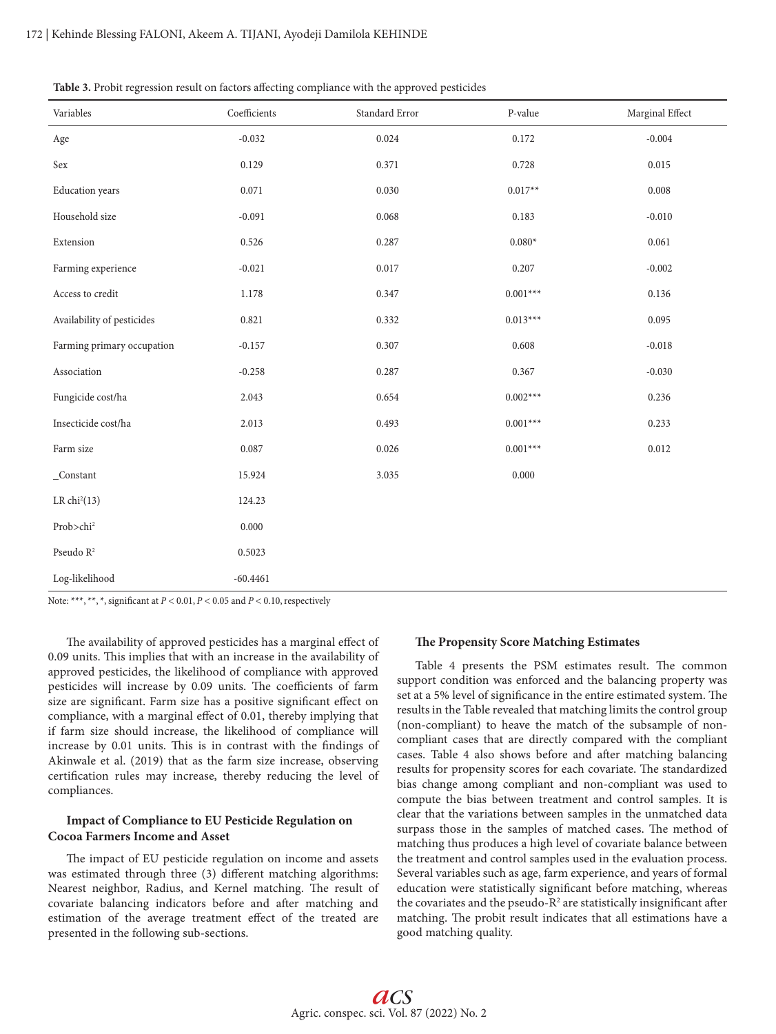| Table 3. Probit regression result on factors affecting compliance with the approved pesticides |  |  |  |
|------------------------------------------------------------------------------------------------|--|--|--|
|------------------------------------------------------------------------------------------------|--|--|--|

| Variables                                | Coefficients | Standard Error | P-value    | Marginal Effect |
|------------------------------------------|--------------|----------------|------------|-----------------|
| Age                                      | $-0.032$     | 0.024          | 0.172      | $-0.004$        |
| Sex                                      | 0.129        | 0.371          | 0.728      | 0.015           |
| <b>Education</b> years                   | 0.071        | 0.030          | $0.017**$  | 0.008           |
| Household size                           | $-0.091$     | 0.068          | 0.183      | $-0.010$        |
| Extension                                | 0.526        | 0.287          | $0.080*$   | 0.061           |
| Farming experience                       | $-0.021$     | 0.017          | 0.207      | $-0.002$        |
| Access to credit                         | 1.178        | 0.347          | $0.001***$ | 0.136           |
| Availability of pesticides               | 0.821        | 0.332          | $0.013***$ | 0.095           |
| Farming primary occupation               | $-0.157$     | 0.307          | 0.608      | $-0.018$        |
| Association                              | $-0.258$     | 0.287          | 0.367      | $-0.030$        |
| Fungicide cost/ha                        | 2.043        | 0.654          | $0.002***$ | 0.236           |
| Insecticide cost/ha                      | 2.013        | 0.493          | $0.001***$ | 0.233           |
| $\ensuremath{\mathsf{Farm}}\xspace$ size | 0.087        | 0.026          | $0.001***$ | 0.012           |
| $\_Constant$                             | 15.924       | 3.035          | 0.000      |                 |
| LR $chi2(13)$                            | 124.23       |                |            |                 |
| Prob>chi <sup>2</sup>                    | 0.000        |                |            |                 |
| Pseudo $\mathbb{R}^2$                    | 0.5023       |                |            |                 |
| Log-likelihood                           | $-60.4461$   |                |            |                 |

Note: \*\*\*, \*\*, \*, significant at *P* < 0.01, *P* < 0.05 and *P* < 0.10, respectively

The availability of approved pesticides has a marginal effect of 0.09 units. This implies that with an increase in the availability of approved pesticides, the likelihood of compliance with approved pesticides will increase by 0.09 units. The coefficients of farm size are significant. Farm size has a positive significant effect on compliance, with a marginal effect of 0.01, thereby implying that if farm size should increase, the likelihood of compliance will increase by 0.01 units. This is in contrast with the findings of Akinwale et al. (2019) that as the farm size increase, observing certification rules may increase, thereby reducing the level of compliances.

# **Impact of Compliance to EU Pesticide Regulation on Cocoa Farmers Income and Asset**

The impact of EU pesticide regulation on income and assets was estimated through three (3) different matching algorithms: Nearest neighbor, Radius, and Kernel matching. The result of covariate balancing indicators before and after matching and estimation of the average treatment effect of the treated are presented in the following sub-sections.

#### **The Propensity Score Matching Estimates**

Table 4 presents the PSM estimates result. The common support condition was enforced and the balancing property was set at a 5% level of significance in the entire estimated system. The results in the Table revealed that matching limits the control group (non-compliant) to heave the match of the subsample of noncompliant cases that are directly compared with the compliant cases. Table 4 also shows before and after matching balancing results for propensity scores for each covariate. The standardized bias change among compliant and non-compliant was used to compute the bias between treatment and control samples. It is clear that the variations between samples in the unmatched data surpass those in the samples of matched cases. The method of matching thus produces a high level of covariate balance between the treatment and control samples used in the evaluation process. Several variables such as age, farm experience, and years of formal education were statistically significant before matching, whereas the covariates and the pseudo- $R^2$  are statistically insignificant after matching. The probit result indicates that all estimations have a good matching quality.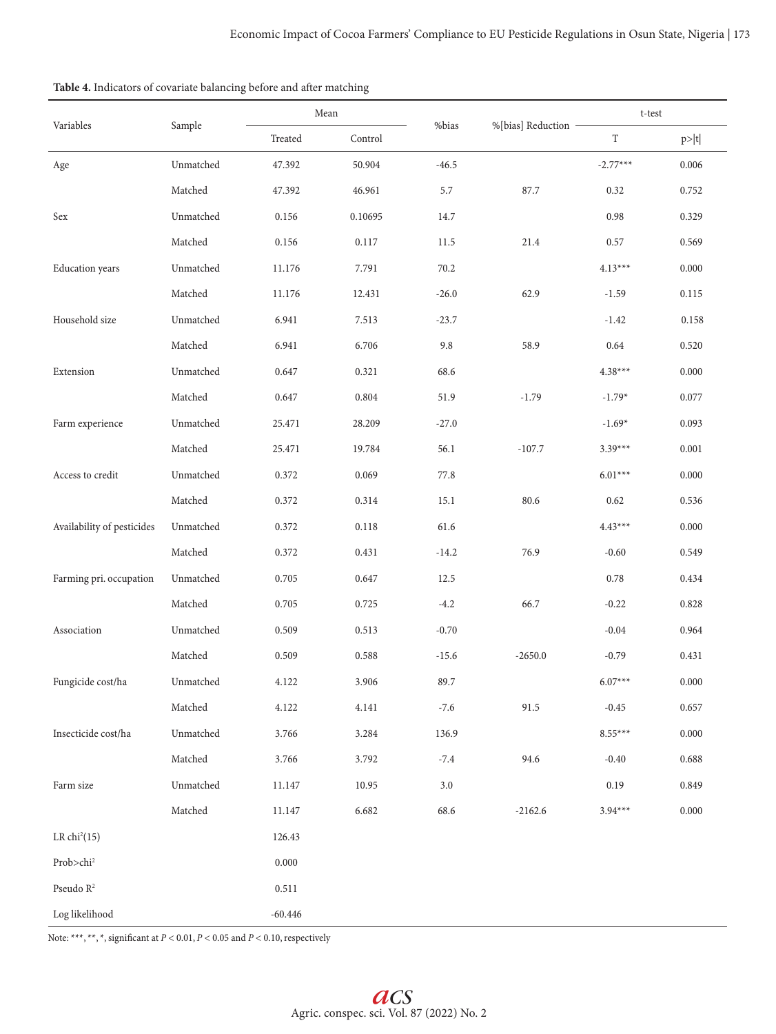|                            |               |           | Mean    |         | %[bias] Reduction - |            | t-test    |  |
|----------------------------|---------------|-----------|---------|---------|---------------------|------------|-----------|--|
| Variables                  | Sample        | Treated   | Control | %bias   |                     | T          | p> t      |  |
| Age                        | Unmatched     | 47.392    | 50.904  | $-46.5$ |                     | $-2.77***$ | 0.006     |  |
|                            | Matched       | 47.392    | 46.961  | 5.7     | 87.7                | 0.32       | 0.752     |  |
| Sex                        | Unmatched     | 0.156     | 0.10695 | 14.7    |                     | 0.98       | 0.329     |  |
|                            | Matched       | 0.156     | 0.117   | 11.5    | 21.4                | 0.57       | 0.569     |  |
| Education years            | Unmatched     | 11.176    | 7.791   | 70.2    |                     | $4.13***$  | 0.000     |  |
|                            | Matched       | 11.176    | 12.431  | $-26.0$ | 62.9                | $-1.59$    | 0.115     |  |
| Household size             | Unmatched     | 6.941     | 7.513   | $-23.7$ |                     | $-1.42$    | 0.158     |  |
|                            | $\rm Matched$ | 6.941     | 6.706   | 9.8     | 58.9                | 0.64       | 0.520     |  |
| Extension                  | Unmatched     | 0.647     | 0.321   | 68.6    |                     | $4.38***$  | 0.000     |  |
|                            | Matched       | 0.647     | 0.804   | 51.9    | $-1.79$             | $-1.79*$   | 0.077     |  |
| Farm experience            | Unmatched     | 25.471    | 28.209  | $-27.0$ |                     | $-1.69*$   | 0.093     |  |
|                            | Matched       | 25.471    | 19.784  | 56.1    | $-107.7$            | $3.39***$  | 0.001     |  |
| Access to credit           | Unmatched     | 0.372     | 0.069   | 77.8    |                     | $6.01***$  | 0.000     |  |
|                            | Matched       | 0.372     | 0.314   | 15.1    | 80.6                | 0.62       | 0.536     |  |
| Availability of pesticides | Unmatched     | 0.372     | 0.118   | 61.6    |                     | $4.43***$  | 0.000     |  |
|                            | Matched       | 0.372     | 0.431   | $-14.2$ | 76.9                | $-0.60$    | 0.549     |  |
| Farming pri. occupation    | Unmatched     | 0.705     | 0.647   | 12.5    |                     | 0.78       | 0.434     |  |
|                            | Matched       | 0.705     | 0.725   | $-4.2$  | 66.7                | $-0.22$    | 0.828     |  |
| Association                | Unmatched     | 0.509     | 0.513   | $-0.70$ |                     | $-0.04$    | 0.964     |  |
|                            | Matched       | 0.509     | 0.588   | $-15.6$ | $-2650.0$           | $-0.79$    | 0.431     |  |
| Fungicide cost/ha          | Unmatched     | 4.122     | 3.906   | 89.7    |                     | $6.07***$  | $0.000\,$ |  |
|                            | Matched       | 4.122     | 4.141   | $-7.6$  | 91.5                | $-0.45$    | 0.657     |  |
| Insecticide cost/ha        | Unmatched     | 3.766     | 3.284   | 136.9   |                     | $8.55***$  | 0.000     |  |
|                            | $\rm Matched$ | 3.766     | 3.792   | $-7.4$  | 94.6                | $-0.40$    | 0.688     |  |
| Farm size                  | Unmatched     | 11.147    | 10.95   | $3.0\,$ |                     | 0.19       | 0.849     |  |
|                            | Matched       | 11.147    | 6.682   | 68.6    | $-2162.6$           | $3.94***$  | 0.000     |  |
| LR $chi2(15)$              |               | 126.43    |         |         |                     |            |           |  |
| Prob>chi <sup>2</sup>      |               | 0.000     |         |         |                     |            |           |  |
| Pseudo $\mathbb{R}^2$      |               | 0.511     |         |         |                     |            |           |  |
| Log likelihood             |               | $-60.446$ |         |         |                     |            |           |  |

| Table 4. Indicators of covariate balancing before and after matching |  |  |
|----------------------------------------------------------------------|--|--|
|----------------------------------------------------------------------|--|--|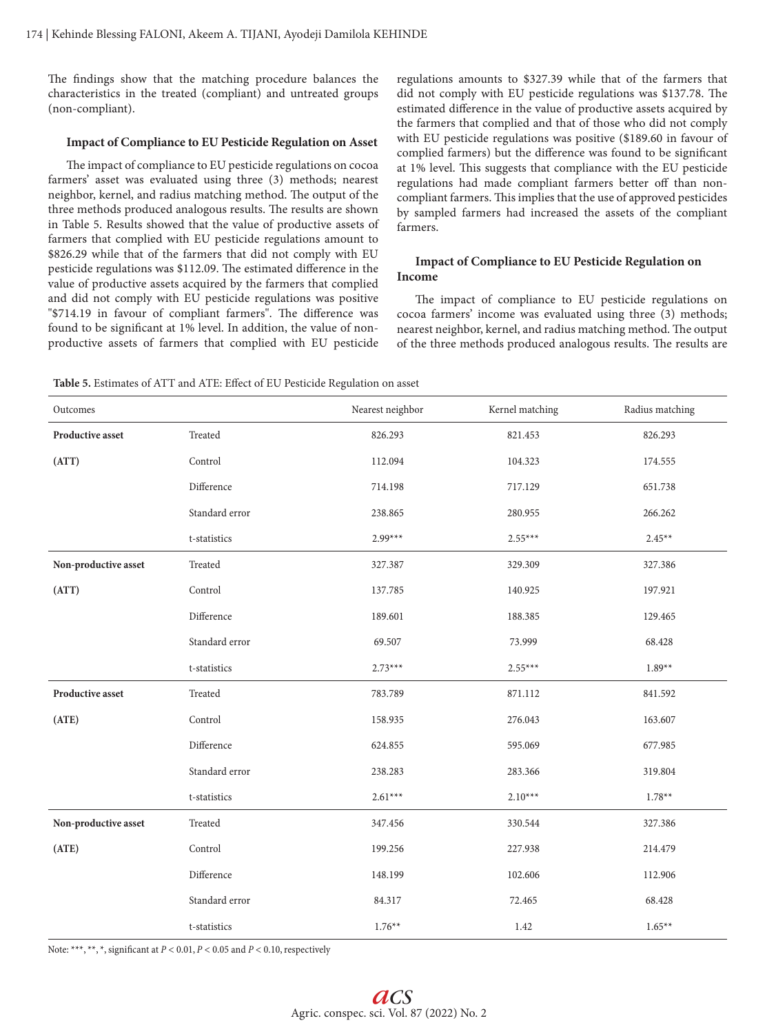The findings show that the matching procedure balances the characteristics in the treated (compliant) and untreated groups (non-compliant).

### **Impact of Compliance to EU Pesticide Regulation on Asset**

The impact of compliance to EU pesticide regulations on cocoa farmers' asset was evaluated using three (3) methods; nearest neighbor, kernel, and radius matching method. The output of the three methods produced analogous results. The results are shown in Table 5. Results showed that the value of productive assets of farmers that complied with EU pesticide regulations amount to \$826.29 while that of the farmers that did not comply with EU pesticide regulations was \$112.09. The estimated difference in the value of productive assets acquired by the farmers that complied and did not comply with EU pesticide regulations was positive "\$714.19 in favour of compliant farmers". The difference was found to be significant at 1% level. In addition, the value of nonproductive assets of farmers that complied with EU pesticide regulations amounts to \$327.39 while that of the farmers that did not comply with EU pesticide regulations was \$137.78. The estimated difference in the value of productive assets acquired by the farmers that complied and that of those who did not comply with EU pesticide regulations was positive (\$189.60 in favour of complied farmers) but the difference was found to be significant at 1% level. This suggests that compliance with the EU pesticide regulations had made compliant farmers better off than noncompliant farmers. This implies that the use of approved pesticides by sampled farmers had increased the assets of the compliant farmers.

# **Impact of Compliance to EU Pesticide Regulation on Income**

The impact of compliance to EU pesticide regulations on cocoa farmers' income was evaluated using three (3) methods; nearest neighbor, kernel, and radius matching method. The output of the three methods produced analogous results. The results are

**Table 5.** Estimates of ATT and ATE: Effect of EU Pesticide Regulation on asset

| Outcomes                |                | Nearest neighbor | Kernel matching | Radius matching |
|-------------------------|----------------|------------------|-----------------|-----------------|
| Productive asset        | Treated        | 826.293          | 821.453         | 826.293         |
| (ATT)                   | Control        | 112.094          | 104.323         | 174.555         |
|                         | Difference     | 714.198          | 717.129         | 651.738         |
|                         | Standard error | 238.865          | 280.955         | 266.262         |
|                         | t-statistics   | $2.99***$        | $2.55***$       | $2.45**$        |
| Non-productive asset    | Treated        | 327.387          | 329.309         | 327.386         |
| (ATT)                   | Control        | 137.785          | 140.925         | 197.921         |
|                         | Difference     | 189.601          | 188.385         | 129.465         |
|                         | Standard error | 69.507           | 73.999          | 68.428          |
|                         | t-statistics   | $2.73***$        | $2.55***$       | $1.89**$        |
| <b>Productive asset</b> | Treated        | 783.789          | 871.112         | 841.592         |
| (ATE)                   | Control        | 158.935          | 276.043         | 163.607         |
|                         | Difference     | 624.855          | 595.069         | 677.985         |
|                         | Standard error | 238.283          | 283.366         | 319.804         |
|                         | t-statistics   | $2.61***$        | $2.10***$       | $1.78**$        |
| Non-productive asset    | Treated        | 347.456          | 330.544         | 327.386         |
| (ATE)                   | Control        | 199.256          | 227.938         | 214.479         |
|                         | Difference     | 148.199          | 102.606         | 112.906         |
|                         | Standard error | 84.317           | 72.465          | 68.428          |
|                         | t-statistics   | $1.76**$         | 1.42            | $1.65**$        |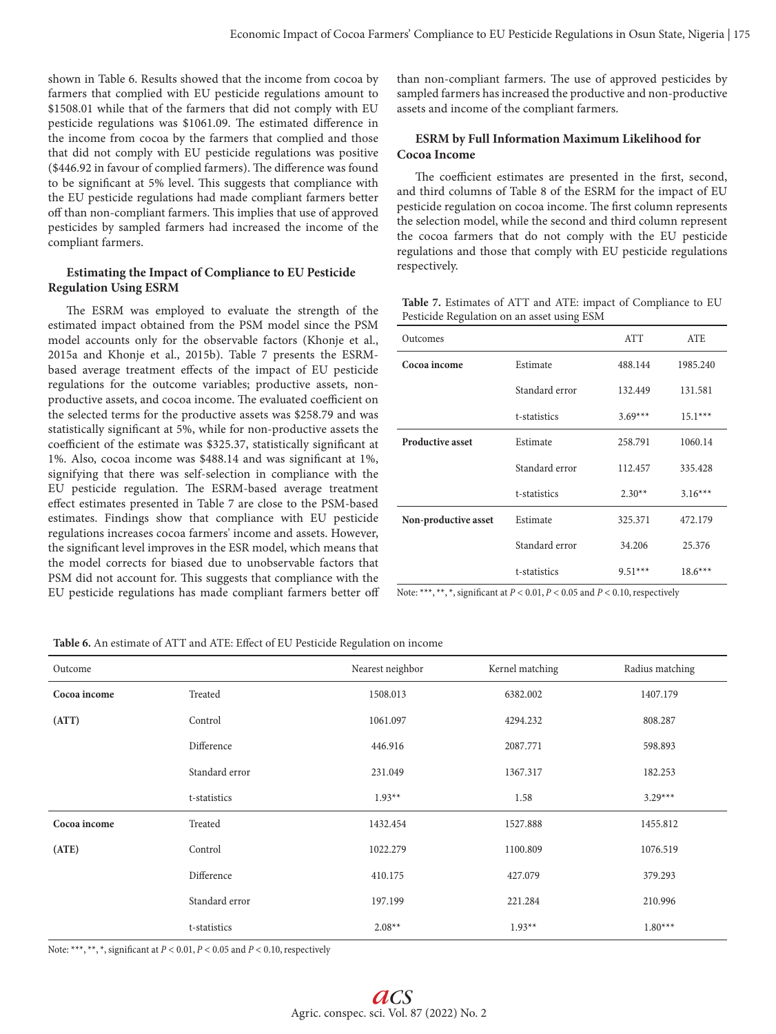shown in Table 6. Results showed that the income from cocoa by farmers that complied with EU pesticide regulations amount to \$1508.01 while that of the farmers that did not comply with EU pesticide regulations was \$1061.09. The estimated difference in the income from cocoa by the farmers that complied and those that did not comply with EU pesticide regulations was positive (\$446.92 in favour of complied farmers). The difference was found to be significant at 5% level. This suggests that compliance with the EU pesticide regulations had made compliant farmers better off than non-compliant farmers. This implies that use of approved pesticides by sampled farmers had increased the income of the compliant farmers.

# **Estimating the Impact of Compliance to EU Pesticide Regulation Using ESRM**

The ESRM was employed to evaluate the strength of the estimated impact obtained from the PSM model since the PSM model accounts only for the observable factors (Khonje et al., 2015a and Khonje et al., 2015b). Table 7 presents the ESRMbased average treatment effects of the impact of EU pesticide regulations for the outcome variables; productive assets, nonproductive assets, and cocoa income. The evaluated coefficient on the selected terms for the productive assets was \$258.79 and was statistically significant at 5%, while for non-productive assets the coefficient of the estimate was \$325.37, statistically significant at 1%. Also, cocoa income was \$488.14 and was significant at 1%, signifying that there was self-selection in compliance with the EU pesticide regulation. The ESRM-based average treatment effect estimates presented in Table 7 are close to the PSM-based estimates. Findings show that compliance with EU pesticide regulations increases cocoa farmers' income and assets. However, the significant level improves in the ESR model, which means that the model corrects for biased due to unobservable factors that PSM did not account for. This suggests that compliance with the EU pesticide regulations has made compliant farmers better off than non-compliant farmers. The use of approved pesticides by sampled farmers has increased the productive and non-productive assets and income of the compliant farmers.

# **ESRM by Full Information Maximum Likelihood for Cocoa Income**

The coefficient estimates are presented in the first, second, and third columns of Table 8 of the ESRM for the impact of EU pesticide regulation on cocoa income. The first column represents the selection model, while the second and third column represent the cocoa farmers that do not comply with the EU pesticide regulations and those that comply with EU pesticide regulations respectively.

**Table 7.** Estimates of ATT and ATE: impact of Compliance to EU Pesticide Regulation on an asset using ESM

| Outcomes                |                | <b>ATT</b> | <b>ATE</b> |
|-------------------------|----------------|------------|------------|
| Cocoa income            | Estimate       | 488.144    | 1985.240   |
|                         | Standard error | 132.449    | 131.581    |
|                         | t-statistics   | $3.69***$  | $15.1***$  |
| <b>Productive asset</b> | Estimate       | 258.791    | 1060.14    |
|                         | Standard error | 112.457    | 335.428    |
|                         | t-statistics   | $2.30**$   | $3.16***$  |
| Non-productive asset    | Estimate       | 325.371    | 472.179    |
|                         | Standard error | 34.206     | 25.376     |
|                         | t-statistics   | $9.51***$  | $18.6***$  |

Note: \*\*\*, \*\*, \*, significant at *P* < 0.01, *P* < 0.05 and *P* < 0.10, respectively

**Table 6.** An estimate of ATT and ATE: Effect of EU Pesticide Regulation on income

| Outcome      |                | Nearest neighbor | Kernel matching | Radius matching |
|--------------|----------------|------------------|-----------------|-----------------|
| Cocoa income | Treated        | 1508.013         | 6382.002        | 1407.179        |
| (ATT)        | Control        | 1061.097         | 4294.232        | 808.287         |
|              | Difference     | 446.916          | 2087.771        | 598.893         |
|              | Standard error | 231.049          | 1367.317        | 182.253         |
|              | t-statistics   | $1.93**$         | 1.58            | $3.29***$       |
| Cocoa income | Treated        | 1432.454         | 1527.888        | 1455.812        |
| (ATE)        | Control        | 1022.279         | 1100.809        | 1076.519        |
|              | Difference     | 410.175          | 427.079         | 379.293         |
|              | Standard error | 197.199          | 221.284         | 210.996         |
|              | t-statistics   | $2.08**$         | $1.93**$        | $1.80***$       |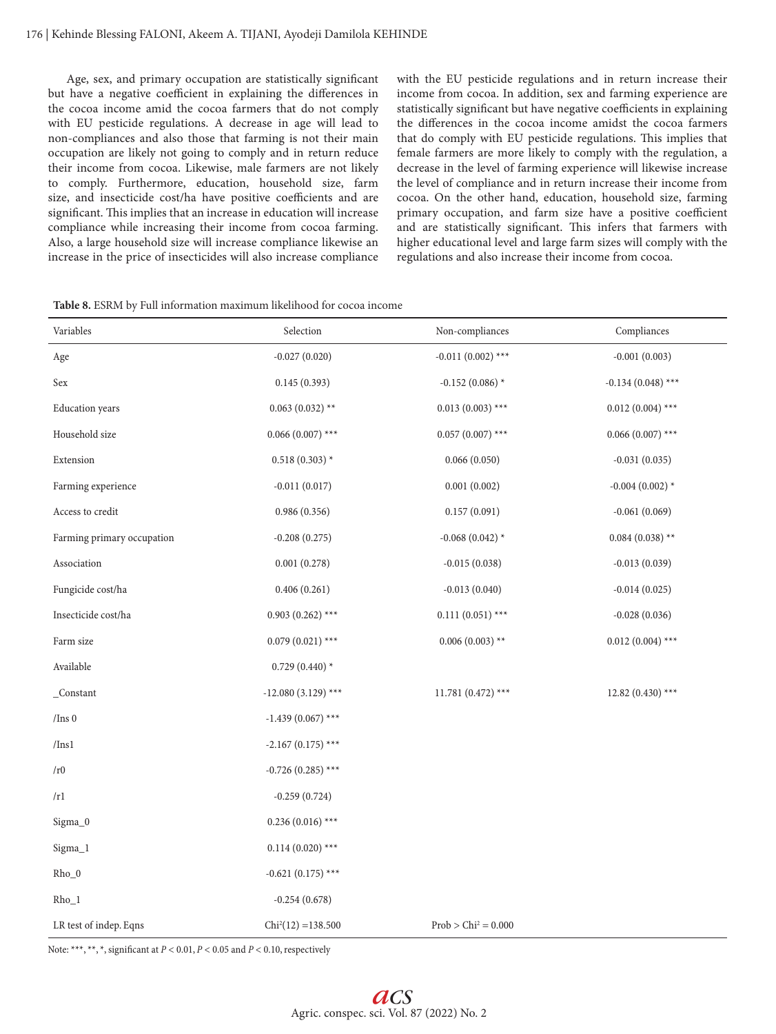Age, sex, and primary occupation are statistically significant but have a negative coefficient in explaining the differences in the cocoa income amid the cocoa farmers that do not comply with EU pesticide regulations. A decrease in age will lead to non-compliances and also those that farming is not their main occupation are likely not going to comply and in return reduce their income from cocoa. Likewise, male farmers are not likely to comply. Furthermore, education, household size, farm size, and insecticide cost/ha have positive coefficients and are significant. This implies that an increase in education will increase compliance while increasing their income from cocoa farming. Also, a large household size will increase compliance likewise an increase in the price of insecticides will also increase compliance

with the EU pesticide regulations and in return increase their income from cocoa. In addition, sex and farming experience are statistically significant but have negative coefficients in explaining the differences in the cocoa income amidst the cocoa farmers that do comply with EU pesticide regulations. This implies that female farmers are more likely to comply with the regulation, a decrease in the level of farming experience will likewise increase the level of compliance and in return increase their income from cocoa. On the other hand, education, household size, farming primary occupation, and farm size have a positive coefficient and are statistically significant. This infers that farmers with higher educational level and large farm sizes will comply with the regulations and also increase their income from cocoa.

| Variables                  | Selection            | Non-compliances        | Compliances         |
|----------------------------|----------------------|------------------------|---------------------|
| Age                        | $-0.027(0.020)$      | $-0.011(0.002)$ ***    | $-0.001(0.003)$     |
| Sex                        | 0.145(0.393)         | $-0.152(0.086)$ *      | $-0.134(0.048)$ *** |
| <b>Education</b> years     | $0.063(0.032)$ **    | $0.013(0.003)$ ***     | $0.012(0.004)$ ***  |
| Household size             | $0.066(0.007)$ ***   | $0.057(0.007)$ ***     | $0.066(0.007)$ ***  |
| Extension                  | $0.518(0.303)*$      | 0.066(0.050)           | $-0.031(0.035)$     |
| Farming experience         | $-0.011(0.017)$      | 0.001(0.002)           | $-0.004(0.002)*$    |
| Access to credit           | 0.986(0.356)         | 0.157(0.091)           | $-0.061(0.069)$     |
| Farming primary occupation | $-0.208(0.275)$      | $-0.068(0.042)$ *      | $0.084(0.038)$ **   |
| Association                | 0.001(0.278)         | $-0.015(0.038)$        | $-0.013(0.039)$     |
| Fungicide cost/ha          | 0.406(0.261)         | $-0.013(0.040)$        | $-0.014(0.025)$     |
| Insecticide cost/ha        | $0.903(0.262)$ ***   | $0.111(0.051)$ ***     | $-0.028(0.036)$     |
| Farm size                  | $0.079(0.021)$ ***   | $0.006(0.003)$ **      | $0.012(0.004)$ ***  |
| Available                  | $0.729(0.440)*$      |                        |                     |
| _Constant                  | $-12.080(3.129)$ *** | 11.781 $(0.472)$ ***   | $12.82(0.430)$ ***  |
| $/$ Ins 0                  | $-1.439(0.067)$ ***  |                        |                     |
| $/$ Ins $1$                | $-2.167(0.175)$ ***  |                        |                     |
| /r0                        | $-0.726(0.285)$ ***  |                        |                     |
| /r1                        | $-0.259(0.724)$      |                        |                     |
| Sigma_0                    | $0.236(0.016)$ ***   |                        |                     |
| Sigma_1                    | $0.114(0.020)$ ***   |                        |                     |
| $Rho_0$                    | $-0.621(0.175)$ ***  |                        |                     |
| $Rho_1$                    | $-0.254(0.678)$      |                        |                     |
| LR test of indep. Eqns     | $Chi2(12) = 138.500$ | $Prob > Chi^2 = 0.000$ |                     |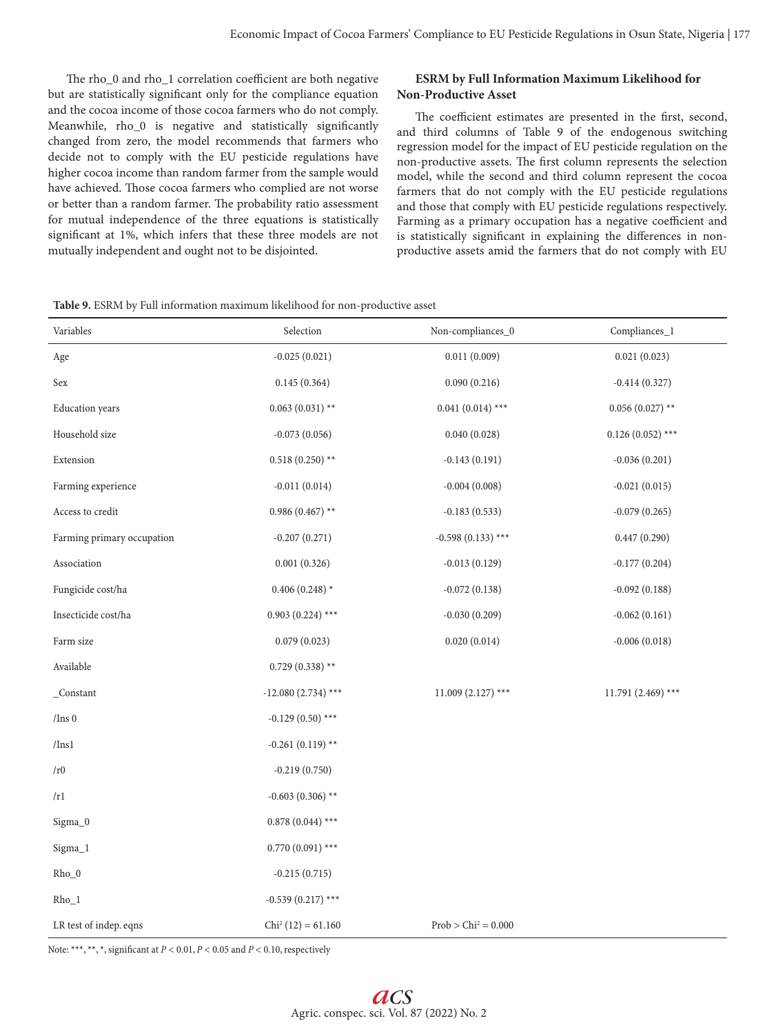The rho\_0 and rho\_1 correlation coefficient are both negative but are statistically significant only for the compliance equation and the cocoa income of those cocoa farmers who do not comply. Meanwhile, rho\_0 is negative and statistically significantly changed from zero, the model recommends that farmers who decide not to comply with the EU pesticide regulations have higher cocoa income than random farmer from the sample would have achieved. Those cocoa farmers who complied are not worse or better than a random farmer. The probability ratio assessment for mutual independence of the three equations is statistically significant at 1%, which infers that these three models are not mutually independent and ought not to be disjointed.

# **ESRM by Full Information Maximum Likelihood for Non-Productive Asset**

The coefficient estimates are presented in the first, second, and third columns of Table 9 of the endogenous switching regression model for the impact of EU pesticide regulation on the non-productive assets. The first column represents the selection model, while the second and third column represent the cocoa farmers that do not comply with the EU pesticide regulations and those that comply with EU pesticide regulations respectively. Farming as a primary occupation has a negative coefficient and is statistically significant in explaining the differences in nonproductive assets amid the farmers that do not comply with EU

**Table 9.** ESRM by Full information maximum likelihood for non-productive asset

| Variables                  | Selection            | Non-compliances_0     | Compliances_1        |
|----------------------------|----------------------|-----------------------|----------------------|
| Age                        | $-0.025(0.021)$      | 0.011(0.009)          | 0.021(0.023)         |
|                            |                      |                       |                      |
| Sex                        | 0.145(0.364)         | 0.090(0.216)          | $-0.414(0.327)$      |
| <b>Education</b> years     | $0.063(0.031)$ **    | $0.041(0.014)$ ***    | $0.056(0.027)$ **    |
| Household size             | $-0.073(0.056)$      | 0.040(0.028)          | $0.126(0.052)$ ***   |
| Extension                  | $0.518(0.250)$ **    | $-0.143(0.191)$       | $-0.036(0.201)$      |
| Farming experience         | $-0.011(0.014)$      | $-0.004(0.008)$       | $-0.021(0.015)$      |
| Access to credit           | $0.986(0.467)$ **    | $-0.183(0.533)$       | $-0.079(0.265)$      |
| Farming primary occupation | $-0.207(0.271)$      | $-0.598(0.133)$ ***   | 0.447(0.290)         |
| Association                | 0.001(0.326)         | $-0.013(0.129)$       | $-0.177(0.204)$      |
| Fungicide cost/ha          | $0.406(0.248)*$      | $-0.072(0.138)$       | $-0.092(0.188)$      |
| Insecticide cost/ha        | $0.903(0.224)$ ***   | $-0.030(0.209)$       | $-0.062(0.161)$      |
| Farm size                  | 0.079(0.023)         | 0.020(0.014)          | $-0.006(0.018)$      |
| Available                  | $0.729(0.338)$ **    |                       |                      |
| $\_Constant$               | $-12.080(2.734)$ *** | $11.009(2.127)$ ***   | 11.791 $(2.469)$ *** |
| /Ins $0$                   | $-0.129(0.50)$ ***   |                       |                      |
| $/$ Ins $1$                | $-0.261(0.119)$ **   |                       |                      |
| /r0                        | $-0.219(0.750)$      |                       |                      |
| /r1                        | $-0.603(0.306)$ **   |                       |                      |
| Sigma_0                    | $0.878(0.044)$ ***   |                       |                      |
| Sigma_1                    | $0.770(0.091)$ ***   |                       |                      |
| $Rho_0$                    | $-0.215(0.715)$      |                       |                      |
| $Rho_1$                    | $-0.539(0.217)$ ***  |                       |                      |
| LR test of indep. eqns     | $Chi2 (12) = 61.160$ | $Prob > Chi2 = 0.000$ |                      |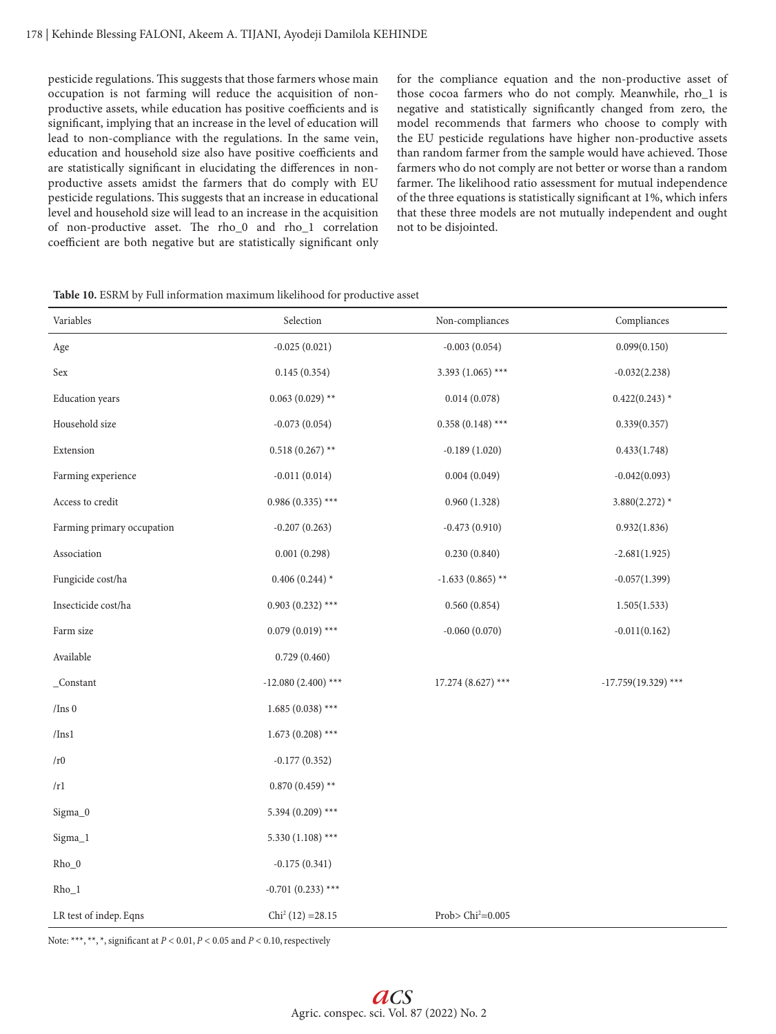pesticide regulations. This suggests that those farmers whose main occupation is not farming will reduce the acquisition of nonproductive assets, while education has positive coefficients and is significant, implying that an increase in the level of education will lead to non-compliance with the regulations. In the same vein, education and household size also have positive coefficients and are statistically significant in elucidating the differences in nonproductive assets amidst the farmers that do comply with EU pesticide regulations. This suggests that an increase in educational level and household size will lead to an increase in the acquisition of non-productive asset. The rho\_0 and rho\_1 correlation coefficient are both negative but are statistically significant only for the compliance equation and the non-productive asset of those cocoa farmers who do not comply. Meanwhile, rho\_1 is negative and statistically significantly changed from zero, the model recommends that farmers who choose to comply with the EU pesticide regulations have higher non-productive assets than random farmer from the sample would have achieved. Those farmers who do not comply are not better or worse than a random farmer. The likelihood ratio assessment for mutual independence of the three equations is statistically significant at 1%, which infers that these three models are not mutually independent and ought not to be disjointed.

**Table 10.** ESRM by Full information maximum likelihood for productive asset

| Variables                  | Selection            | Non-compliances     | Compliances           |
|----------------------------|----------------------|---------------------|-----------------------|
| Age                        | $-0.025(0.021)$      | $-0.003(0.054)$     | 0.099(0.150)          |
| Sex                        | 0.145(0.354)         | 3.393 (1.065) ***   | $-0.032(2.238)$       |
| <b>Education</b> years     | $0.063(0.029)$ **    | 0.014(0.078)        | $0.422(0.243)$ *      |
| Household size             | $-0.073(0.054)$      | $0.358(0.148)$ ***  | 0.339(0.357)          |
| Extension                  | $0.518(0.267)$ **    | $-0.189(1.020)$     | 0.433(1.748)          |
| Farming experience         | $-0.011(0.014)$      | 0.004(0.049)        | $-0.042(0.093)$       |
| Access to credit           | $0.986(0.335)$ ***   | 0.960(1.328)        | $3.880(2.272)$ *      |
| Farming primary occupation | $-0.207(0.263)$      | $-0.473(0.910)$     | 0.932(1.836)          |
| Association                | 0.001(0.298)         | 0.230(0.840)        | $-2.681(1.925)$       |
| Fungicide cost/ha          | 0.406 (0.244) $*$    | $-1.633(0.865)$ **  | $-0.057(1.399)$       |
| Insecticide cost/ha        | $0.903(0.232)$ ***   | 0.560(0.854)        | 1.505(1.533)          |
| Farm size                  | $0.079(0.019)$ ***   | $-0.060(0.070)$     | $-0.011(0.162)$       |
| Available                  | 0.729(0.460)         |                     |                       |
| $\_Constant$               | $-12.080(2.400)$ *** | $17.274(8.627)$ *** | $-17.759(19.329)$ *** |
| /Ins $0$                   | $1.685(0.038)$ ***   |                     |                       |
| /Ins1                      | $1.673(0.208)$ ***   |                     |                       |
| /r <sub>0</sub>            | $-0.177(0.352)$      |                     |                       |
| /r1                        | $0.870(0.459)$ **    |                     |                       |
| Sigma_0                    | 5.394 (0.209) ***    |                     |                       |
| Sigma_1                    | 5.330 (1.108) ***    |                     |                       |
| $Rho_0$                    | $-0.175(0.341)$      |                     |                       |
| $Rho_1$                    | $-0.701(0.233)$ ***  |                     |                       |
| LR test of indep. Eqns     | $Chi2 (12) = 28.15$  | Prob> $Chi^2=0.005$ |                       |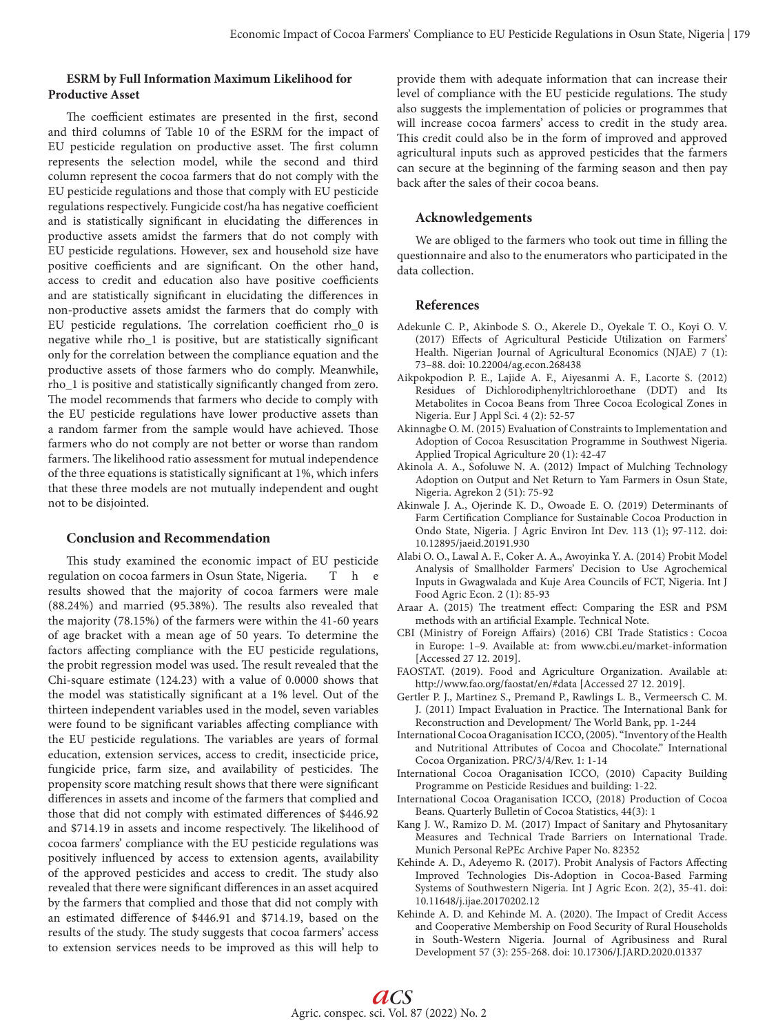# **ESRM by Full Information Maximum Likelihood for Productive Asset**

The coefficient estimates are presented in the first, second and third columns of Table 10 of the ESRM for the impact of EU pesticide regulation on productive asset. The first column represents the selection model, while the second and third column represent the cocoa farmers that do not comply with the EU pesticide regulations and those that comply with EU pesticide regulations respectively. Fungicide cost/ha has negative coefficient and is statistically significant in elucidating the differences in productive assets amidst the farmers that do not comply with EU pesticide regulations. However, sex and household size have positive coefficients and are significant. On the other hand, access to credit and education also have positive coefficients and are statistically significant in elucidating the differences in non-productive assets amidst the farmers that do comply with EU pesticide regulations. The correlation coefficient rho\_0 is negative while rho\_1 is positive, but are statistically significant only for the correlation between the compliance equation and the productive assets of those farmers who do comply. Meanwhile, rho\_1 is positive and statistically significantly changed from zero. The model recommends that farmers who decide to comply with the EU pesticide regulations have lower productive assets than a random farmer from the sample would have achieved. Those farmers who do not comply are not better or worse than random farmers. The likelihood ratio assessment for mutual independence of the three equations is statistically significant at 1%, which infers that these three models are not mutually independent and ought not to be disjointed.

# **Conclusion and Recommendation**

This study examined the economic impact of EU pesticide regulation on cocoa farmers in Osun State, Nigeria. T h e results showed that the majority of cocoa farmers were male (88.24%) and married (95.38%). The results also revealed that the majority (78.15%) of the farmers were within the 41-60 years of age bracket with a mean age of 50 years. To determine the factors affecting compliance with the EU pesticide regulations, the probit regression model was used. The result revealed that the Chi-square estimate (124.23) with a value of 0.0000 shows that the model was statistically significant at a 1% level. Out of the thirteen independent variables used in the model, seven variables were found to be significant variables affecting compliance with the EU pesticide regulations. The variables are years of formal education, extension services, access to credit, insecticide price, fungicide price, farm size, and availability of pesticides. The propensity score matching result shows that there were significant differences in assets and income of the farmers that complied and those that did not comply with estimated differences of \$446.92 and \$714.19 in assets and income respectively. The likelihood of cocoa farmers' compliance with the EU pesticide regulations was positively influenced by access to extension agents, availability of the approved pesticides and access to credit. The study also revealed that there were significant differences in an asset acquired by the farmers that complied and those that did not comply with an estimated difference of \$446.91 and \$714.19, based on the results of the study. The study suggests that cocoa farmers' access to extension services needs to be improved as this will help to

provide them with adequate information that can increase their level of compliance with the EU pesticide regulations. The study also suggests the implementation of policies or programmes that will increase cocoa farmers' access to credit in the study area. This credit could also be in the form of improved and approved agricultural inputs such as approved pesticides that the farmers can secure at the beginning of the farming season and then pay back after the sales of their cocoa beans.

# **Acknowledgements**

We are obliged to the farmers who took out time in filling the questionnaire and also to the enumerators who participated in the data collection.

## **References**

- Adekunle C. P., Akinbode S. O., Akerele D., Oyekale T. O., Koyi O. V. (2017) Effects of Agricultural Pesticide Utilization on Farmers' Health. Nigerian Journal of Agricultural Economics (NJAE) 7 (1): 73–88. doi: 10.22004/ag.econ.268438
- Aikpokpodion P. E., Lajide A. F., Aiyesanmi A. F., Lacorte S. (2012) Residues of Dichlorodiphenyltrichloroethane (DDT) and Its Metabolites in Cocoa Beans from Three Cocoa Ecological Zones in Nigeria. Eur J Appl Sci. 4 (2): 52-57
- Akinnagbe O. M. (2015) Evaluation of Constraints to Implementation and Adoption of Cocoa Resuscitation Programme in Southwest Nigeria. Applied Tropical Agriculture 20 (1): 42-47
- Akinola A. A., Sofoluwe N. A. (2012) Impact of Mulching Technology Adoption on Output and Net Return to Yam Farmers in Osun State, Nigeria. Agrekon 2 (51): 75-92
- Akinwale J. A., Ojerinde K. D., Owoade E. O. (2019) Determinants of Farm Certification Compliance for Sustainable Cocoa Production in Ondo State, Nigeria. J Agric Environ Int Dev. 113 (1); 97-112. doi: 10.12895/jaeid.20191.930
- Alabi O. O., Lawal A. F., Coker A. A., Awoyinka Y. A. (2014) Probit Model Analysis of Smallholder Farmers' Decision to Use Agrochemical Inputs in Gwagwalada and Kuje Area Councils of FCT, Nigeria. Int J Food Agric Econ. 2 (1): 85-93
- Araar A. (2015) The treatment effect: Comparing the ESR and PSM methods with an artificial Example. Technical Note.
- CBI (Ministry of Foreign Affairs) (2016) CBI Trade Statistics : Cocoa in Europe: 1–9. Available at: from www.cbi.eu/market-information [Accessed 27 12. 2019].
- FAOSTAT. (2019). Food and Agriculture Organization. Available at: http://www.fao.org/faostat/en/#data [Accessed 27 12. 2019].
- Gertler P. J., Martinez S., Premand P., Rawlings L. B., Vermeersch C. M. J. (2011) Impact Evaluation in Practice. The International Bank for Reconstruction and Development/ The World Bank, pp. 1-244
- International Cocoa Oraganisation ICCO, (2005). "Inventory of the Health and Nutritional Attributes of Cocoa and Chocolate." International Cocoa Organization. PRC/3/4/Rev. 1: 1-14
- International Cocoa Oraganisation ICCO, (2010) Capacity Building Programme on Pesticide Residues and building: 1-22.
- International Cocoa Oraganisation ICCO, (2018) Production of Cocoa Beans. Quarterly Bulletin of Cocoa Statistics, 44(3): 1
- Kang J. W., Ramizo D. M. (2017) Impact of Sanitary and Phytosanitary Measures and Technical Trade Barriers on International Trade. Munich Personal RePEc Archive Paper No. 82352
- Kehinde A. D., Adeyemo R. (2017). Probit Analysis of Factors Affecting Improved Technologies Dis-Adoption in Cocoa-Based Farming Systems of Southwestern Nigeria. Int J Agric Econ. 2(2), 35-41. doi: 10.11648/j.ijae.20170202.12
- Kehinde A. D. and Kehinde M. A. (2020). The Impact of Credit Access and Cooperative Membership on Food Security of Rural Households in South-Western Nigeria. Journal of Agribusiness and Rural Development 57 (3): 255-268. doi: 10.17306/J.JARD.2020.01337